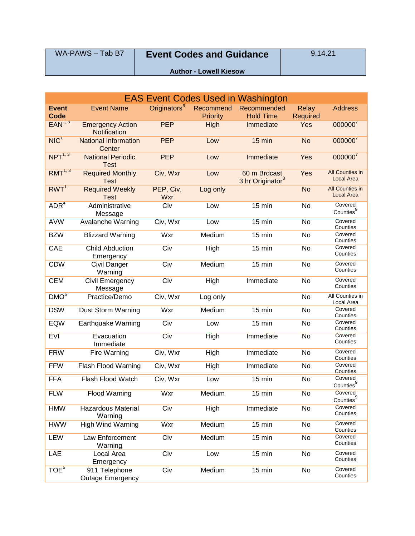| WA-PAWS - Tab B7 | <b>Event Codes and Guidance</b> | 9.14.21 |
|------------------|---------------------------------|---------|
|                  | <b>Author - Lowell Kiesow</b>   |         |

| <b>EAS Event Codes Used in Washington</b> |                                          |                          |                              |                                              |                                 |                                             |
|-------------------------------------------|------------------------------------------|--------------------------|------------------------------|----------------------------------------------|---------------------------------|---------------------------------------------|
| <b>Event</b><br>Code                      | <b>Event Name</b>                        | Originators <sup>6</sup> | Recommend<br><b>Priority</b> | Recommended<br><b>Hold Time</b>              | <b>Relay</b><br><b>Required</b> | <b>Address</b>                              |
| EAN <sup>1, 3</sup>                       | <b>Emergency Action</b><br>Notification  | <b>PEP</b>               | High                         | Immediate                                    | Yes                             | $000000^7$                                  |
| NIC <sup>1</sup>                          | <b>National Information</b><br>Center    | <b>PEP</b>               | Low                          | $15$ min                                     | <b>No</b>                       | 000000'                                     |
| NPT <sup>1, 3</sup>                       | <b>National Periodic</b><br><b>Test</b>  | <b>PEP</b>               | Low                          | Immediate                                    | Yes                             | 000000 <sup>7</sup>                         |
| $RMT^{1, 3}$                              | <b>Required Monthly</b><br><b>Test</b>   | Civ, Wxr                 | Low                          | 60 m Brdcast<br>3 hr Originator <sup>8</sup> | Yes                             | <b>All Counties in</b><br><b>Local Area</b> |
| RWT <sup>1</sup>                          | <b>Required Weekly</b><br><b>Test</b>    | PEP, Civ,<br>Wxr         | Log only                     |                                              | <b>No</b>                       | All Counties in<br>Local Area               |
| ADR <sup>4</sup>                          | Administrative<br>Message                | Civ                      | Low                          | 15 min                                       | No                              | Covered<br>Counties $^{9}$                  |
| <b>AVW</b>                                | Avalanche Warning                        | Civ, Wxr                 | Low                          | 15 min                                       | No                              | Covered<br>Counties                         |
| <b>BZW</b>                                | <b>Blizzard Warning</b>                  | Wxr                      | Medium                       | 15 min                                       | No                              | Covered<br>Counties                         |
| CAE                                       | <b>Child Abduction</b><br>Emergency      | Civ                      | High                         | 15 min                                       | No                              | Covered<br>Counties                         |
| <b>CDW</b>                                | <b>Civil Danger</b><br>Warning           | Civ                      | Medium                       | 15 min                                       | No                              | Covered<br>Counties                         |
| <b>CEM</b>                                | Civil Emergency<br>Message               | Civ                      | High                         | Immediate                                    | No                              | Covered<br>Counties                         |
| DMO <sup>5</sup>                          | Practice/Demo                            | Civ, Wxr                 | Log only                     |                                              | <b>No</b>                       | All Counties in<br>Local Area               |
| <b>DSW</b>                                | Dust Storm Warning                       | Wxr                      | Medium                       | 15 min                                       | No                              | Covered<br>Counties                         |
| EQW                                       | Earthquake Warning                       | Civ                      | Low                          | 15 min                                       | No                              | Covered<br>Counties                         |
| <b>EVI</b>                                | Evacuation<br>Immediate                  | Civ                      | High                         | Immediate                                    | No                              | Covered<br>Counties                         |
| <b>FRW</b>                                | Fire Warning                             | Civ, Wxr                 | High                         | Immediate                                    | No                              | Covered<br>Counties                         |
| <b>FFW</b>                                | Flash Flood Warning                      | Civ, Wxr                 | High                         | Immediate                                    | No                              | Covered<br>Counties                         |
| <b>FFA</b>                                | Flash Flood Watch                        | Civ, Wxr                 | Low                          | 15 min                                       | No                              | Covered<br>Counties <sup>9</sup>            |
| <b>FLW</b>                                | <b>Flood Warning</b>                     | Wxr                      | Medium                       | 15 min                                       | No                              | Covered<br>Counties <sup>9</sup>            |
| <b>HMW</b>                                | <b>Hazardous Material</b><br>Warning     | Civ                      | High                         | Immediate                                    | No                              | Covered<br>Counties                         |
| <b>HWW</b>                                | <b>High Wind Warning</b>                 | Wxr                      | Medium                       | 15 min                                       | No                              | Covered<br>Counties                         |
| LEW                                       | Law Enforcement<br>Warning               | Civ                      | Medium                       | 15 min                                       | No                              | Covered<br>Counties                         |
| LAE                                       | Local Area<br>Emergency                  | Civ                      | Low                          | 15 min                                       | No                              | Covered<br>Counties                         |
| TOE <sup>5</sup>                          | 911 Telephone<br><b>Outage Emergency</b> | Civ                      | Medium                       | 15 min                                       | No                              | Covered<br>Counties                         |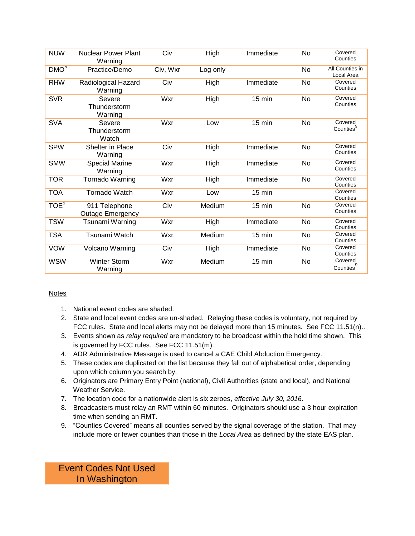| <b>NUW</b>       | <b>Nuclear Power Plant</b><br>Warning    | Civ      | High     | Immediate        | No | Covered<br>Counties              |
|------------------|------------------------------------------|----------|----------|------------------|----|----------------------------------|
| DMO <sup>5</sup> | Practice/Demo                            | Civ, Wxr | Log only |                  | No | All Counties in<br>Local Area    |
| <b>RHW</b>       | Radiological Hazard<br>Warning           | Civ      | High     | Immediate        | No | Covered<br>Counties              |
| <b>SVR</b>       | Severe<br>Thunderstorm<br>Warning        | Wxr      | High     | 15 min           | No | Covered<br>Counties              |
| <b>SVA</b>       | Severe<br>Thunderstorm<br>Watch          | Wxr      | Low      | 15 min           | No | Covered<br>Counties <sup>9</sup> |
| <b>SPW</b>       | Shelter in Place<br>Warning              | Civ      | High     | Immediate        | No | Covered<br>Counties              |
| <b>SMW</b>       | <b>Special Marine</b><br>Warning         | Wxr      | High     | Immediate        | No | Covered<br>Counties              |
| <b>TOR</b>       | Tornado Warning                          | Wxr      | High     | Immediate        | No | Covered<br>Counties              |
| <b>TOA</b>       | <b>Tornado Watch</b>                     | Wxr      | Low      | $15 \text{ min}$ |    | Covered<br>Counties              |
| TOE <sup>5</sup> | 911 Telephone<br><b>Outage Emergency</b> | Civ      | Medium   | 15 min           | No | Covered<br>Counties              |
| <b>TSW</b>       | Tsunami Warning                          | Wxr      | High     | Immediate        | No | Covered<br>Counties              |
| <b>TSA</b>       | Tsunami Watch                            | Wxr      | Medium   | 15 min           | No | Covered<br>Counties              |
| <b>VOW</b>       | Volcano Warning                          | Civ      | High     | Immediate        | No | Covered<br>Counties              |
| <b>WSW</b>       | <b>Winter Storm</b><br>Warning           | Wxr      | Medium   | 15 min           | No | Covered<br>Counties $^{9}$       |

# Notes

- 1. National event codes are shaded.
- 2. State and local event codes are un-shaded. Relaying these codes is voluntary, not required by FCC rules. State and local alerts may not be delayed more than 15 minutes. See FCC 11.51(n)..
- 3. Events shown as *relay required* are mandatory to be broadcast within the hold time shown. This is governed by FCC rules. See FCC 11.51(m).
- 4. ADR Administrative Message is used to cancel a CAE Child Abduction Emergency.
- 5. These codes are duplicated on the list because they fall out of alphabetical order, depending upon which column you search by.
- 6. Originators are Primary Entry Point (national), Civil Authorities (state and local), and National Weather Service.
- 7. The location code for a nationwide alert is six zeroes, *effective July 30, 2016*.
- 8. Broadcasters must relay an RMT within 60 minutes. Originators should use a 3 hour expiration time when sending an RMT.
- 9. "Counties Covered" means all counties served by the signal coverage of the station. That may include more or fewer counties than those in the *Local Area* as defined by the state EAS plan.

Event Codes Not Used In Washington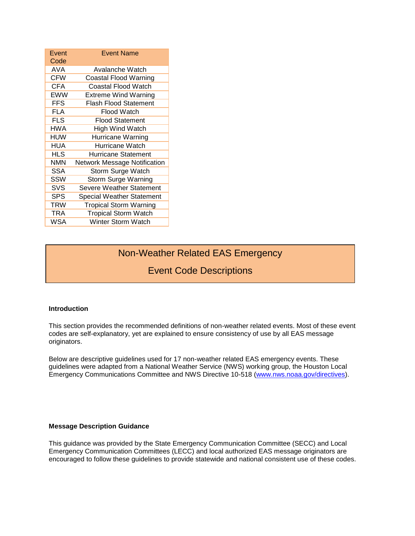| Event<br>Code | <b>Event Name</b>                   |
|---------------|-------------------------------------|
| AVA           | Avalanche Watch                     |
| <b>CFW</b>    | Coastal Flood Warning               |
| <b>CFA</b>    | Coastal Flood Watch                 |
| EWW           | <b>Extreme Wind Warning</b>         |
| <b>FFS</b>    | <b>Flash Flood Statement</b>        |
| <b>FLA</b>    | Flood Watch                         |
| <b>FLS</b>    | <b>Flood Statement</b>              |
| HWA           | High Wind Watch                     |
| HUW           | Hurricane Warning                   |
| HUA           | Hurricane Watch                     |
| HLS           | Hurricane Statement                 |
| NMN           | <b>Network Message Notification</b> |
| <b>SSA</b>    | Storm Surge Watch                   |
| SSW           | Storm Surge Warning                 |
| SVS           | Severe Weather Statement            |
| SPS           | <b>Special Weather Statement</b>    |
| TRW           | <b>Tropical Storm Warning</b>       |
| <b>TRA</b>    | <b>Tropical Storm Watch</b>         |
| WSA           | Winter Storm Watch                  |

# Non-Weather Related EAS Emergency

# Event Code Descriptions

# **Introduction**

This section provides the recommended definitions of non-weather related events. Most of these event codes are self-explanatory, yet are explained to ensure consistency of use by all EAS message originators.

Below are descriptive guidelines used for 17 non-weather related EAS emergency events. These guidelines were adapted from a National Weather Service (NWS) working group, the Houston Local Emergency Communications Committee and NWS Directive 10-518 [\(www.nws.noaa.gov/directives\)](http://www.nws.noaa.gov/directives).

#### **Message Description Guidance**

This guidance was provided by the State Emergency Communication Committee (SECC) and Local Emergency Communication Committees (LECC) and local authorized EAS message originators are encouraged to follow these guidelines to provide statewide and national consistent use of these codes.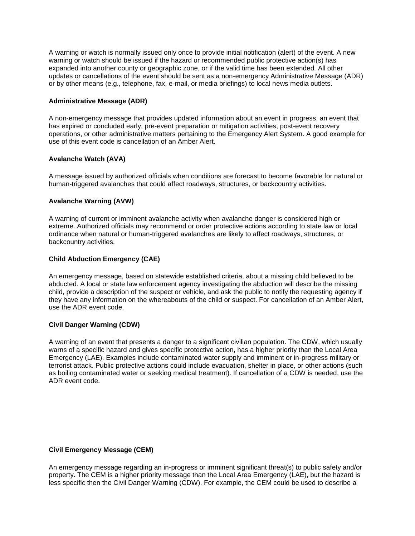A warning or watch is normally issued only once to provide initial notification (alert) of the event. A new warning or watch should be issued if the hazard or recommended public protective action(s) has expanded into another county or geographic zone, or if the valid time has been extended. All other updates or cancellations of the event should be sent as a non-emergency Administrative Message (ADR) or by other means (e.g., telephone, fax, e-mail, or media briefings) to local news media outlets.

#### **Administrative Message (ADR)**

A non-emergency message that provides updated information about an event in progress, an event that has expired or concluded early, pre-event preparation or mitigation activities, post-event recovery operations, or other administrative matters pertaining to the Emergency Alert System. A good example for use of this event code is cancellation of an Amber Alert.

### **Avalanche Watch (AVA)**

A message issued by authorized officials when conditions are forecast to become favorable for natural or human-triggered avalanches that could affect roadways, structures, or backcountry activities.

### **Avalanche Warning (AVW)**

A warning of current or imminent avalanche activity when avalanche danger is considered high or extreme. Authorized officials may recommend or order protective actions according to state law or local ordinance when natural or human-triggered avalanches are likely to affect roadways, structures, or backcountry activities.

### **Child Abduction Emergency (CAE)**

An emergency message, based on statewide established criteria, about a missing child believed to be abducted. A local or state law enforcement agency investigating the abduction will describe the missing child, provide a description of the suspect or vehicle, and ask the public to notify the requesting agency if they have any information on the whereabouts of the child or suspect. For cancellation of an Amber Alert, use the ADR event code.

#### **Civil Danger Warning (CDW)**

A warning of an event that presents a danger to a significant civilian population. The CDW, which usually warns of a specific hazard and gives specific protective action, has a higher priority than the Local Area Emergency (LAE). Examples include contaminated water supply and imminent or in-progress military or terrorist attack. Public protective actions could include evacuation, shelter in place, or other actions (such as boiling contaminated water or seeking medical treatment). If cancellation of a CDW is needed, use the ADR event code.

#### **Civil Emergency Message (CEM)**

An emergency message regarding an in-progress or imminent significant threat(s) to public safety and/or property. The CEM is a higher priority message than the Local Area Emergency (LAE), but the hazard is less specific then the Civil Danger Warning (CDW). For example, the CEM could be used to describe a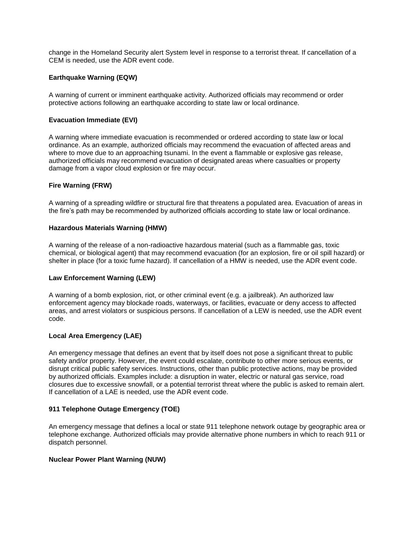change in the Homeland Security alert System level in response to a terrorist threat. If cancellation of a CEM is needed, use the ADR event code.

# **Earthquake Warning (EQW)**

A warning of current or imminent earthquake activity. Authorized officials may recommend or order protective actions following an earthquake according to state law or local ordinance.

### **Evacuation Immediate (EVI)**

A warning where immediate evacuation is recommended or ordered according to state law or local ordinance. As an example, authorized officials may recommend the evacuation of affected areas and where to move due to an approaching tsunami. In the event a flammable or explosive gas release, authorized officials may recommend evacuation of designated areas where casualties or property damage from a vapor cloud explosion or fire may occur.

### **Fire Warning (FRW)**

A warning of a spreading wildfire or structural fire that threatens a populated area. Evacuation of areas in the fire's path may be recommended by authorized officials according to state law or local ordinance.

#### **Hazardous Materials Warning (HMW)**

A warning of the release of a non-radioactive hazardous material (such as a flammable gas, toxic chemical, or biological agent) that may recommend evacuation (for an explosion, fire or oil spill hazard) or shelter in place (for a toxic fume hazard). If cancellation of a HMW is needed, use the ADR event code.

# **Law Enforcement Warning (LEW)**

A warning of a bomb explosion, riot, or other criminal event (e.g. a jailbreak). An authorized law enforcement agency may blockade roads, waterways, or facilities, evacuate or deny access to affected areas, and arrest violators or suspicious persons. If cancellation of a LEW is needed, use the ADR event code.

#### **Local Area Emergency (LAE)**

An emergency message that defines an event that by itself does not pose a significant threat to public safety and/or property. However, the event could escalate, contribute to other more serious events, or disrupt critical public safety services. Instructions, other than public protective actions, may be provided by authorized officials. Examples include: a disruption in water, electric or natural gas service, road closures due to excessive snowfall, or a potential terrorist threat where the public is asked to remain alert. If cancellation of a LAE is needed, use the ADR event code.

# **911 Telephone Outage Emergency (TOE)**

An emergency message that defines a local or state 911 telephone network outage by geographic area or telephone exchange. Authorized officials may provide alternative phone numbers in which to reach 911 or dispatch personnel.

#### **Nuclear Power Plant Warning (NUW)**